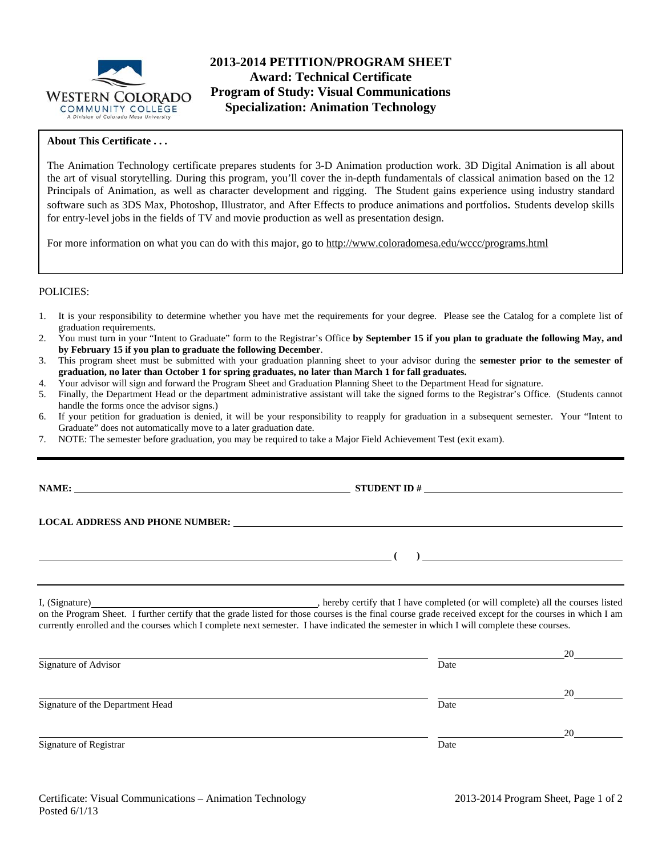

## **2013-2014 PETITION/PROGRAM SHEET Award: Technical Certificate Program of Study: Visual Communications Specialization: Animation Technology**

#### **About This Certificate . . .**

The Animation Technology certificate prepares students for 3-D Animation production work. 3D Digital Animation is all about the art of visual storytelling. During this program, you'll cover the in-depth fundamentals of classical animation based on the 12 Principals of Animation, as well as character development and rigging. The Student gains experience using industry standard software such as 3DS Max, Photoshop, Illustrator, and After Effects to produce animations and portfolios. Students develop skills for entry-level jobs in the fields of TV and movie production as well as presentation design.

For more information on what you can do with this major, go to http://www.coloradomesa.edu/wccc/programs.html

#### POLICIES:

- 1. It is your responsibility to determine whether you have met the requirements for your degree. Please see the Catalog for a complete list of graduation requirements.
- 2. You must turn in your "Intent to Graduate" form to the Registrar's Office **by September 15 if you plan to graduate the following May, and by February 15 if you plan to graduate the following December**.
- 3. This program sheet must be submitted with your graduation planning sheet to your advisor during the **semester prior to the semester of graduation, no later than October 1 for spring graduates, no later than March 1 for fall graduates.**
- 4. Your advisor will sign and forward the Program Sheet and Graduation Planning Sheet to the Department Head for signature.
- 5. Finally, the Department Head or the department administrative assistant will take the signed forms to the Registrar's Office. (Students cannot handle the forms once the advisor signs.)
- 6. If your petition for graduation is denied, it will be your responsibility to reapply for graduation in a subsequent semester. Your "Intent to Graduate" does not automatically move to a later graduation date.
- 7. NOTE: The semester before graduation, you may be required to take a Major Field Achievement Test (exit exam).

**NAME: STUDENT ID #** 

 **(** ) <u>and</u> (

**LOCAL ADDRESS AND PHONE NUMBER:**

I, (Signature) **Source 2008** (Signature) **, hereby certify that I have completed** (or will complete) all the courses listed on the Program Sheet. I further certify that the grade listed for those courses is the final course grade received except for the courses in which I am currently enrolled and the courses which I complete next semester. I have indicated the semester in which I will complete these courses.

|                                  |      | 20 |
|----------------------------------|------|----|
| Signature of Advisor             | Date |    |
|                                  |      | 20 |
| Signature of the Department Head | Date |    |
|                                  |      | 20 |
| Signature of Registrar           | Date |    |